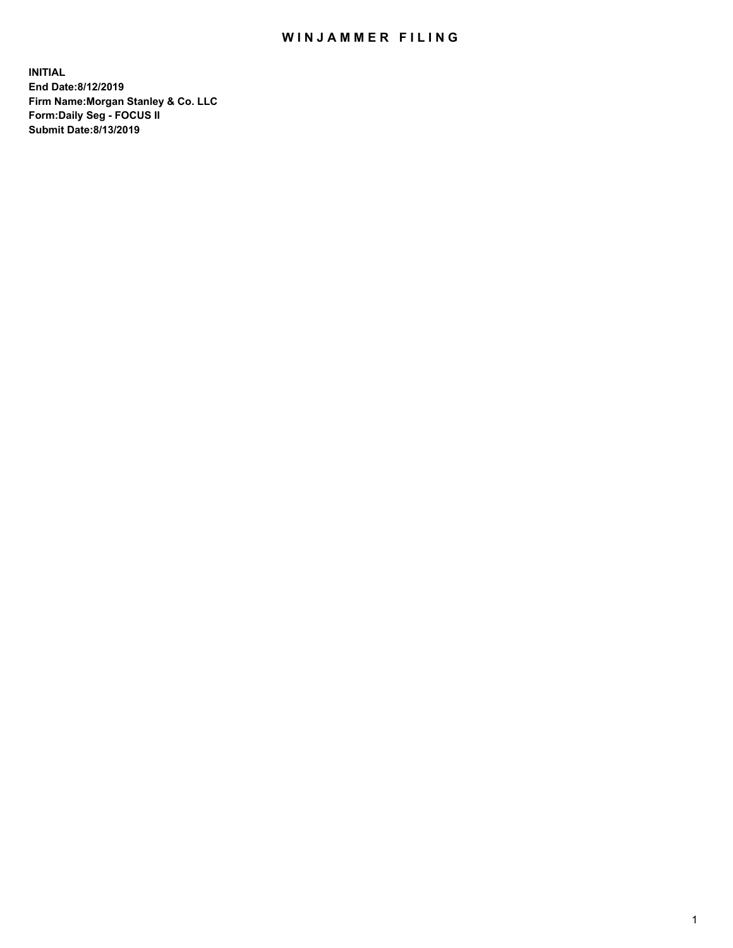## WIN JAMMER FILING

**INITIAL End Date:8/12/2019 Firm Name:Morgan Stanley & Co. LLC Form:Daily Seg - FOCUS II Submit Date:8/13/2019**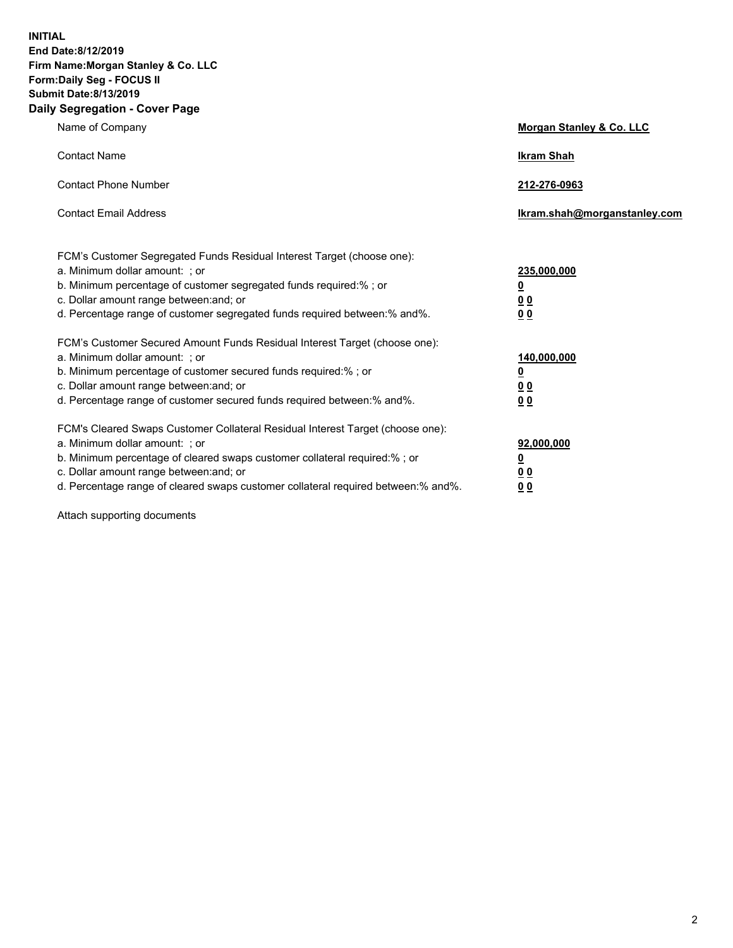**INITIAL End Date:8/12/2019 Firm Name:Morgan Stanley & Co. LLC Form:Daily Seg - FOCUS II Submit Date:8/13/2019 Daily Segregation - Cover Page**

| Name of Company                                                                                                                                                                                                                                                                                                                | Morgan Stanley & Co. LLC                               |
|--------------------------------------------------------------------------------------------------------------------------------------------------------------------------------------------------------------------------------------------------------------------------------------------------------------------------------|--------------------------------------------------------|
| <b>Contact Name</b>                                                                                                                                                                                                                                                                                                            | <b>Ikram Shah</b>                                      |
| <b>Contact Phone Number</b>                                                                                                                                                                                                                                                                                                    | 212-276-0963                                           |
| <b>Contact Email Address</b>                                                                                                                                                                                                                                                                                                   | Ikram.shah@morganstanley.com                           |
| FCM's Customer Segregated Funds Residual Interest Target (choose one):<br>a. Minimum dollar amount: ; or<br>b. Minimum percentage of customer segregated funds required:% ; or<br>c. Dollar amount range between: and; or<br>d. Percentage range of customer segregated funds required between:% and%.                         | 235,000,000<br><u>0</u><br><u>0 0</u><br>0 Q           |
| FCM's Customer Secured Amount Funds Residual Interest Target (choose one):<br>a. Minimum dollar amount: ; or<br>b. Minimum percentage of customer secured funds required:%; or<br>c. Dollar amount range between: and; or<br>d. Percentage range of customer secured funds required between:% and%.                            | 140,000,000<br><u>0</u><br><u>00</u><br>0 <sub>0</sub> |
| FCM's Cleared Swaps Customer Collateral Residual Interest Target (choose one):<br>a. Minimum dollar amount: ; or<br>b. Minimum percentage of cleared swaps customer collateral required:% ; or<br>c. Dollar amount range between: and; or<br>d. Percentage range of cleared swaps customer collateral required between:% and%. | 92,000,000<br><u>0</u><br><u>00</u><br>0 <sub>0</sub>  |

Attach supporting documents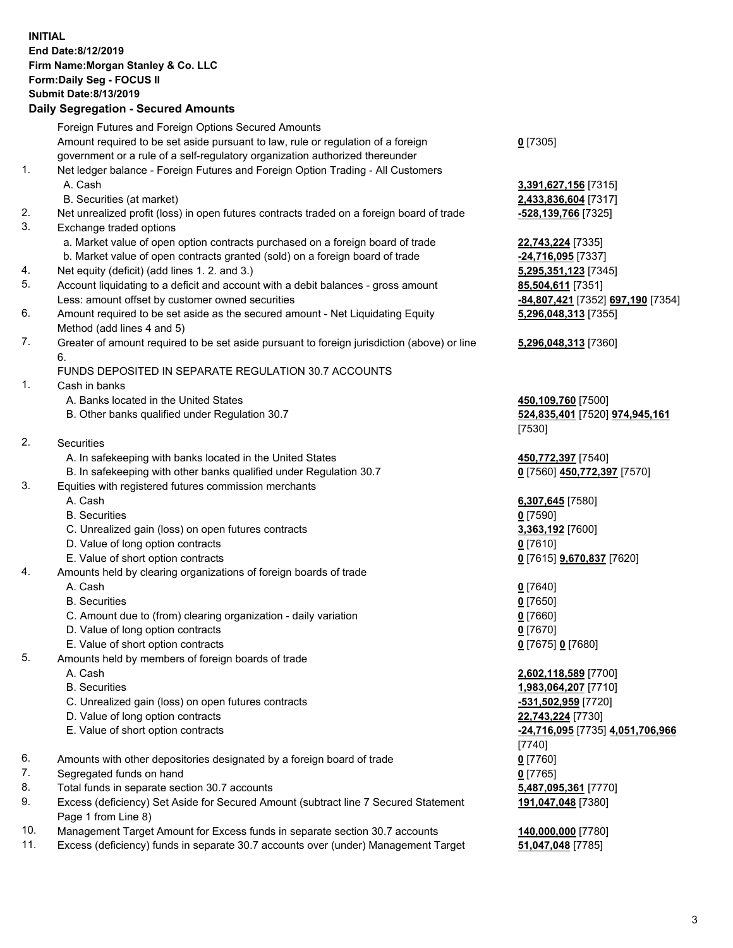## **INITIAL End Date:8/12/2019 Firm Name:Morgan Stanley & Co. LLC Form:Daily Seg - FOCUS II Submit Date:8/13/2019**

**Daily Segregation - Secured Amounts** Foreign Futures and Foreign Options Secured Amounts Amount required to be set aside pursuant to law, rule or regulation of a foreign government or a rule of a self-regulatory organization authorized thereunder 1. Net ledger balance - Foreign Futures and Foreign Option Trading - All Customers A. Cash **3,391,627,156** [7315] B. Securities (at market) **2,433,836,604** [7317] 2. Net unrealized profit (loss) in open futures contracts traded on a foreign board of trade **-528,139,766** [7325] 3. Exchange traded options a. Market value of open option contracts purchased on a foreign board of trade **22,743,224** [7335] b. Market value of open contracts granted (sold) on a foreign board of trade **-24,716,095** [7337] 4. Net equity (deficit) (add lines 1. 2. and 3.) **5,295,351,123** [7345] 5. Account liquidating to a deficit and account with a debit balances - gross amount **85,504,611** [7351] Less: amount offset by customer owned securities **-84,807,421** [7352] **697,190** [7354] 6. Amount required to be set aside as the secured amount - Net Liquidating Equity Method (add lines 4 and 5) 7. Greater of amount required to be set aside pursuant to foreign jurisdiction (above) or line 6. FUNDS DEPOSITED IN SEPARATE REGULATION 30.7 ACCOUNTS 1. Cash in banks A. Banks located in the United States **450,109,760** [7500] B. Other banks qualified under Regulation 30.7 **524,835,401** [7520] **974,945,161** [7530] 2. Securities A. In safekeeping with banks located in the United States **450,772,397** [7540] B. In safekeeping with other banks qualified under Regulation 30.7 **0** [7560] **450,772,397** [7570] 3. Equities with registered futures commission merchants A. Cash **6,307,645** [7580] B. Securities **0** [7590] C. Unrealized gain (loss) on open futures contracts **3,363,192** [7600] D. Value of long option contracts **0** [7610] E. Value of short option contracts **0** [7615] **9,670,837** [7620] 4. Amounts held by clearing organizations of foreign boards of trade A. Cash **0** [7640] B. Securities **0** [7650] C. Amount due to (from) clearing organization - daily variation **0** [7660] D. Value of long option contracts **0** [7670] E. Value of short option contracts **0** [7675] **0** [7680] 5. Amounts held by members of foreign boards of trade A. Cash **2,602,118,589** [7700] B. Securities **1,983,064,207** [7710]

- C. Unrealized gain (loss) on open futures contracts **-531,502,959** [7720]
- D. Value of long option contracts **22,743,224** [7730]
- 
- 6. Amounts with other depositories designated by a foreign board of trade **0** [7760]
- 7. Segregated funds on hand **0** [7765]
- 8. Total funds in separate section 30.7 accounts **5,487,095,361** [7770]
- 9. Excess (deficiency) Set Aside for Secured Amount (subtract line 7 Secured Statement Page 1 from Line 8)
- 10. Management Target Amount for Excess funds in separate section 30.7 accounts **140,000,000** [7780]
- 11. Excess (deficiency) funds in separate 30.7 accounts over (under) Management Target **51,047,048** [7785]

**0** [7305]

**5,296,048,313** [7355]

## **5,296,048,313** [7360]

 E. Value of short option contracts **-24,716,095** [7735] **4,051,706,966** [7740] **191,047,048** [7380]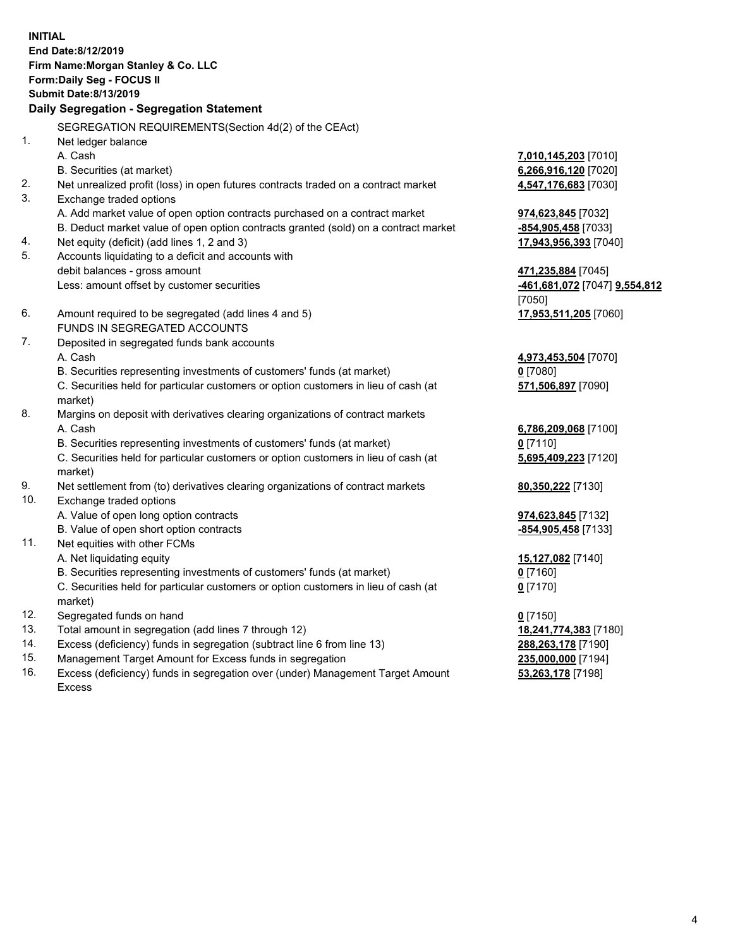**INITIAL End Date:8/12/2019 Firm Name:Morgan Stanley & Co. LLC Form:Daily Seg - FOCUS II Submit Date:8/13/2019 Daily Segregation - Segregation Statement** SEGREGATION REQUIREMENTS(Section 4d(2) of the CEAct) 1. Net ledger balance A. Cash **7,010,145,203** [7010] B. Securities (at market) **6,266,916,120** [7020] 2. Net unrealized profit (loss) in open futures contracts traded on a contract market **4,547,176,683** [7030] 3. Exchange traded options A. Add market value of open option contracts purchased on a contract market **974,623,845** [7032] B. Deduct market value of open option contracts granted (sold) on a contract market **-854,905,458** [7033] 4. Net equity (deficit) (add lines 1, 2 and 3) **17,943,956,393** [7040] 5. Accounts liquidating to a deficit and accounts with debit balances - gross amount **471,235,884** [7045] Less: amount offset by customer securities **-461,681,072** [7047] **9,554,812** [7050] 6. Amount required to be segregated (add lines 4 and 5) **17,953,511,205** [7060] FUNDS IN SEGREGATED ACCOUNTS 7. Deposited in segregated funds bank accounts A. Cash **4,973,453,504** [7070] B. Securities representing investments of customers' funds (at market) **0** [7080] C. Securities held for particular customers or option customers in lieu of cash (at market) **571,506,897** [7090] 8. Margins on deposit with derivatives clearing organizations of contract markets A. Cash **6,786,209,068** [7100] B. Securities representing investments of customers' funds (at market) **0** [7110] C. Securities held for particular customers or option customers in lieu of cash (at market) **5,695,409,223** [7120] 9. Net settlement from (to) derivatives clearing organizations of contract markets **80,350,222** [7130] 10. Exchange traded options A. Value of open long option contracts **974,623,845** [7132] B. Value of open short option contracts **-854,905,458** [7133] 11. Net equities with other FCMs A. Net liquidating equity **15,127,082** [7140] B. Securities representing investments of customers' funds (at market) **0** [7160] C. Securities held for particular customers or option customers in lieu of cash (at market) **0** [7170] 12. Segregated funds on hand **0** [7150] 13. Total amount in segregation (add lines 7 through 12) **18,241,774,383** [7180] 14. Excess (deficiency) funds in segregation (subtract line 6 from line 13) **288,263,178** [7190]

- 15. Management Target Amount for Excess funds in segregation **235,000,000** [7194]
- 16. Excess (deficiency) funds in segregation over (under) Management Target Amount Excess

**53,263,178** [7198]